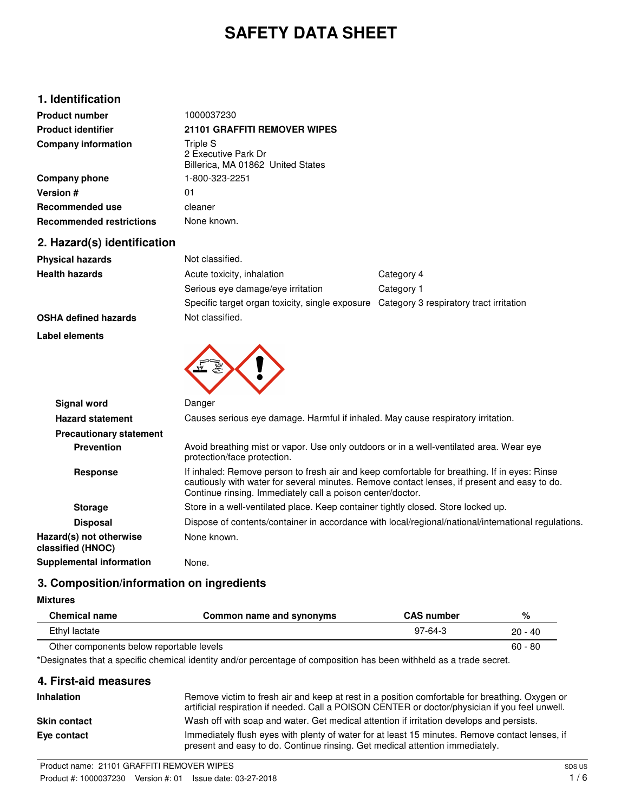# **SAFETY DATA SHEET**

### **1. Identification**

| <b>Product number</b>           | 1000037230                                                           |
|---------------------------------|----------------------------------------------------------------------|
| <b>Product identifier</b>       | <b>21101 GRAFFITI REMOVER WIPES</b>                                  |
| <b>Company information</b>      | Triple S<br>2 Executive Park Dr<br>Billerica, MA 01862 United States |
| Company phone                   | 1-800-323-2251                                                       |
| <b>Version #</b>                | 01                                                                   |
| Recommended use                 | cleaner                                                              |
| <b>Recommended restrictions</b> | None known.                                                          |

### **2. Hazard(s) identification**

| <b>Physical hazards</b> | Not classified.                                                                         |            |
|-------------------------|-----------------------------------------------------------------------------------------|------------|
| <b>Health hazards</b>   | Acute toxicity, inhalation                                                              | Category 4 |
|                         | Serious eye damage/eye irritation                                                       | Category 1 |
|                         | Specific target organ toxicity, single exposure Category 3 respiratory tract irritation |            |
|                         | Materia - 141 - 1                                                                       |            |

#### **OSHA defined hazards** Not classified.

**Label elements**



| <b>Signal word</b>                           | Danger                                                                                                                                                                                                                                                     |
|----------------------------------------------|------------------------------------------------------------------------------------------------------------------------------------------------------------------------------------------------------------------------------------------------------------|
| <b>Hazard statement</b>                      | Causes serious eye damage. Harmful if inhaled. May cause respiratory irritation.                                                                                                                                                                           |
| <b>Precautionary statement</b>               |                                                                                                                                                                                                                                                            |
| <b>Prevention</b>                            | Avoid breathing mist or vapor. Use only outdoors or in a well-ventilated area. Wear eve<br>protection/face protection.                                                                                                                                     |
| Response                                     | If inhaled: Remove person to fresh air and keep comfortable for breathing. If in eyes: Rinse<br>cautiously with water for several minutes. Remove contact lenses, if present and easy to do.<br>Continue rinsing. Immediately call a poison center/doctor. |
| <b>Storage</b>                               | Store in a well-ventilated place. Keep container tightly closed. Store locked up.                                                                                                                                                                          |
| <b>Disposal</b>                              | Dispose of contents/container in accordance with local/regional/national/international regulations.                                                                                                                                                        |
| Hazard(s) not otherwise<br>classified (HNOC) | None known.                                                                                                                                                                                                                                                |
| Supplemental information                     | None.                                                                                                                                                                                                                                                      |

### **3. Composition/information on ingredients**

#### **Mixtures**

 $\overline{a}$ 

| <b>Chemical name</b>                     | Common name and synonyms | <b>CAS number</b> | %         |
|------------------------------------------|--------------------------|-------------------|-----------|
| Ethyl lactate                            |                          | $97-64-3$         | $20 - 40$ |
| Other components below reportable levels |                          |                   | $60 - 80$ |

\*Designates that a specific chemical identity and/or percentage of composition has been withheld as a trade secret.

#### **4. First-aid measures**

| <b>Inhalation</b>   | Remove victim to fresh air and keep at rest in a position comfortable for breathing. Oxygen or<br>artificial respiration if needed. Call a POISON CENTER or doctor/physician if you feel unwell. |
|---------------------|--------------------------------------------------------------------------------------------------------------------------------------------------------------------------------------------------|
| <b>Skin contact</b> | Wash off with soap and water. Get medical attention if irritation develops and persists.                                                                                                         |
| Eye contact         | Immediately flush eyes with plenty of water for at least 15 minutes. Remove contact lenses, if<br>present and easy to do. Continue rinsing. Get medical attention immediately.                   |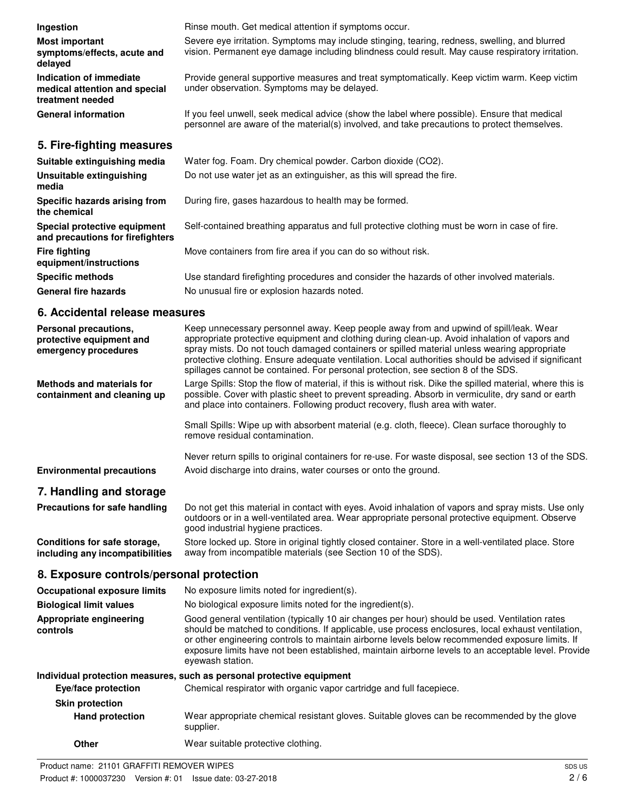| Ingestion                                                                    | Rinse mouth. Get medical attention if symptoms occur.                                                                                                                                             |
|------------------------------------------------------------------------------|---------------------------------------------------------------------------------------------------------------------------------------------------------------------------------------------------|
| Most important<br>symptoms/effects, acute and<br>delayed                     | Severe eye irritation. Symptoms may include stinging, tearing, redness, swelling, and blurred<br>vision. Permanent eye damage including blindness could result. May cause respiratory irritation. |
| Indication of immediate<br>medical attention and special<br>treatment needed | Provide general supportive measures and treat symptomatically. Keep victim warm. Keep victim<br>under observation. Symptoms may be delayed.                                                       |
| <b>General information</b>                                                   | If you feel unwell, seek medical advice (show the label where possible). Ensure that medical<br>personnel are aware of the material(s) involved, and take precautions to protect themselves.      |
| 5. Fire-fighting measures                                                    |                                                                                                                                                                                                   |
| Suitable extinguishing media                                                 | Water fog. Foam. Dry chemical powder. Carbon dioxide (CO2).                                                                                                                                       |
| Unsuitable extinguishing<br>media                                            | Do not use water jet as an extinguisher, as this will spread the fire.                                                                                                                            |
| Specific hazards arising from<br>the chemical                                | During fire, gases hazardous to health may be formed.                                                                                                                                             |
| Special protective equipment<br>and precautions for firefighters             | Self-contained breathing apparatus and full protective clothing must be worn in case of fire.                                                                                                     |
| <b>Fire fighting</b><br>equipment/instructions                               | Move containers from fire area if you can do so without risk.                                                                                                                                     |

**Specific methods** Use standard firefighting procedures and consider the hazards of other involved materials. General fire hazards **No unusual fire or explosion hazards noted.** 

### **6. Accidental release measures**

| Personal precautions,<br>protective equipment and<br>emergency procedures | Keep unnecessary personnel away. Keep people away from and upwind of spill/leak. Wear<br>appropriate protective equipment and clothing during clean-up. Avoid inhalation of vapors and<br>spray mists. Do not touch damaged containers or spilled material unless wearing appropriate<br>protective clothing. Ensure adequate ventilation. Local authorities should be advised if significant<br>spillages cannot be contained. For personal protection, see section 8 of the SDS. |
|---------------------------------------------------------------------------|------------------------------------------------------------------------------------------------------------------------------------------------------------------------------------------------------------------------------------------------------------------------------------------------------------------------------------------------------------------------------------------------------------------------------------------------------------------------------------|
| <b>Methods and materials for</b><br>containment and cleaning up           | Large Spills: Stop the flow of material, if this is without risk. Dike the spilled material, where this is<br>possible. Cover with plastic sheet to prevent spreading. Absorb in vermiculite, dry sand or earth<br>and place into containers. Following product recovery, flush area with water.                                                                                                                                                                                   |
|                                                                           | Small Spills: Wipe up with absorbent material (e.g. cloth, fleece). Clean surface thoroughly to<br>remove residual contamination.                                                                                                                                                                                                                                                                                                                                                  |
| <b>Environmental precautions</b>                                          | Never return spills to original containers for re-use. For waste disposal, see section 13 of the SDS.<br>Avoid discharge into drains, water courses or onto the ground.                                                                                                                                                                                                                                                                                                            |
| 7. Handling and storage                                                   |                                                                                                                                                                                                                                                                                                                                                                                                                                                                                    |
| Precautions for safe handling                                             | Do not get this material in contact with eyes. Avoid inhalation of vapors and spray mists. Use only<br>outdoors or in a well-ventilated area. Wear appropriate personal protective equipment. Observe<br>good industrial hygiene practices.                                                                                                                                                                                                                                        |
| Conditions for safe storage,<br>including any incompatibilities           | Store locked up. Store in original tightly closed container. Store in a well-ventilated place. Store<br>away from incompatible materials (see Section 10 of the SDS).                                                                                                                                                                                                                                                                                                              |
| 8. Exposure controls/personal protection                                  |                                                                                                                                                                                                                                                                                                                                                                                                                                                                                    |
| <b>Occupational exposure limits</b>                                       | No exposure limits noted for ingredient(s).                                                                                                                                                                                                                                                                                                                                                                                                                                        |
| <b>Biological limit values</b>                                            | No biological exposure limits noted for the ingredient(s).                                                                                                                                                                                                                                                                                                                                                                                                                         |
| Appropriate engineering<br>controls                                       | Good general ventilation (typically 10 air changes per hour) should be used. Ventilation rates<br>should be matched to conditions. If applicable, use process enclosures, local exhaust ventilation,<br>or other engineering controls to maintain airborne levels below recommended exposure limits. If<br>exposure limits have not been established, maintain airborne levels to an acceptable level. Provide<br>eyewash station.                                                 |
|                                                                           | Individual protection measures, such as personal protective equipment                                                                                                                                                                                                                                                                                                                                                                                                              |
| Eye/face protection                                                       | Chemical respirator with organic vapor cartridge and full facepiece.                                                                                                                                                                                                                                                                                                                                                                                                               |
| <b>Skin protection</b>                                                    |                                                                                                                                                                                                                                                                                                                                                                                                                                                                                    |
| <b>Hand protection</b>                                                    | Wear appropriate chemical resistant gloves. Suitable gloves can be recommended by the glove<br>supplier.                                                                                                                                                                                                                                                                                                                                                                           |
| Other                                                                     | Wear suitable protective clothing.                                                                                                                                                                                                                                                                                                                                                                                                                                                 |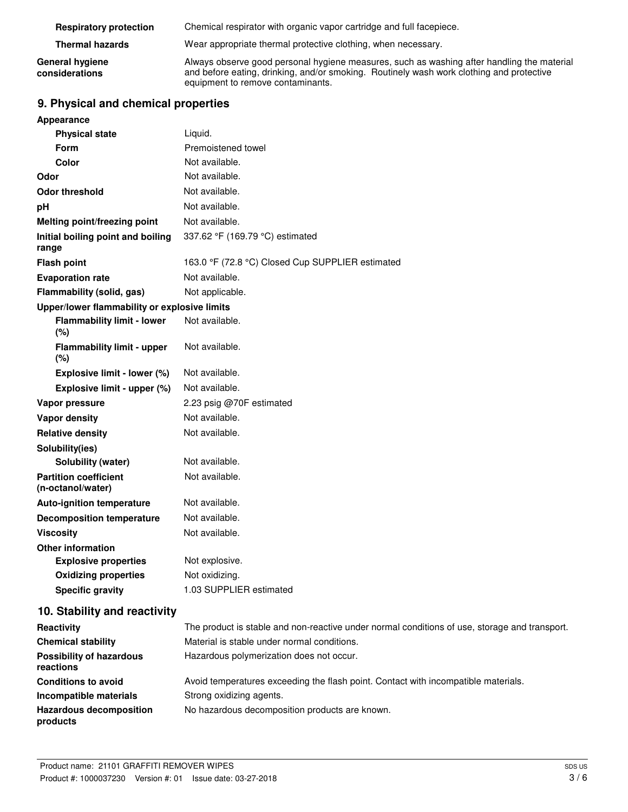| <b>Respiratory protection</b>     | Chemical respirator with organic vapor cartridge and full facepiece.                                                                                                                                                        |
|-----------------------------------|-----------------------------------------------------------------------------------------------------------------------------------------------------------------------------------------------------------------------------|
| <b>Thermal hazards</b>            | Wear appropriate thermal protective clothing, when necessary.                                                                                                                                                               |
| General hygiene<br>considerations | Always observe good personal hygiene measures, such as washing after handling the material<br>and before eating, drinking, and/or smoking. Routinely wash work clothing and protective<br>equipment to remove contaminants. |

## **9. Physical and chemical properties**

| Appearance                                        |                                                                |
|---------------------------------------------------|----------------------------------------------------------------|
| <b>Physical state</b>                             | Liquid.                                                        |
| <b>Form</b>                                       | Premoistened towel                                             |
| Color                                             | Not available.                                                 |
| Odor                                              | Not available.                                                 |
| <b>Odor threshold</b>                             | Not available.                                                 |
| рH                                                | Not available.                                                 |
| Melting point/freezing point                      | Not available.                                                 |
| Initial boiling point and boiling<br>range        | 337.62 °F (169.79 °C) estimated                                |
| <b>Flash point</b>                                | 163.0 °F (72.8 °C) Closed Cup SUPPLIER estimated               |
| <b>Evaporation rate</b>                           | Not available.                                                 |
| Flammability (solid, gas)                         | Not applicable.                                                |
| Upper/lower flammability or explosive limits      |                                                                |
| <b>Flammability limit - lower</b><br>(%)          | Not available.                                                 |
| <b>Flammability limit - upper</b><br>(%)          | Not available.                                                 |
| Explosive limit - lower (%)                       | Not available.                                                 |
| Explosive limit - upper (%)                       | Not available.                                                 |
| Vapor pressure                                    | 2.23 psig @70F estimated                                       |
| <b>Vapor density</b>                              | Not available.                                                 |
| <b>Relative density</b>                           | Not available.                                                 |
| Solubility(ies)                                   |                                                                |
| Solubility (water)                                | Not available.                                                 |
| <b>Partition coefficient</b><br>(n-octanol/water) | Not available.                                                 |
| <b>Auto-ignition temperature</b>                  | Not available.                                                 |
| <b>Decomposition temperature</b>                  | Not available.                                                 |
| <b>Viscositv</b>                                  | Not available.                                                 |
| <b>Other information</b>                          |                                                                |
| <b>Explosive properties</b>                       | Not explosive.                                                 |
| <b>Oxidizing properties</b>                       | Not oxidizing.                                                 |
| <b>Specific gravity</b>                           | 1.03 SUPPLIER estimated                                        |
| 10. Stability and reactivity                      |                                                                |
| Reactivity                                        | The product is stable and non-reactive under normal conditions |

| Reactivity                                   | The product is stable and non-reactive under normal conditions of use, storage and transport. |
|----------------------------------------------|-----------------------------------------------------------------------------------------------|
| <b>Chemical stability</b>                    | Material is stable under normal conditions.                                                   |
| <b>Possibility of hazardous</b><br>reactions | Hazardous polymerization does not occur.                                                      |
| <b>Conditions to avoid</b>                   | Avoid temperatures exceeding the flash point. Contact with incompatible materials.            |
| Incompatible materials                       | Strong oxidizing agents.                                                                      |
| <b>Hazardous decomposition</b><br>products   | No hazardous decomposition products are known.                                                |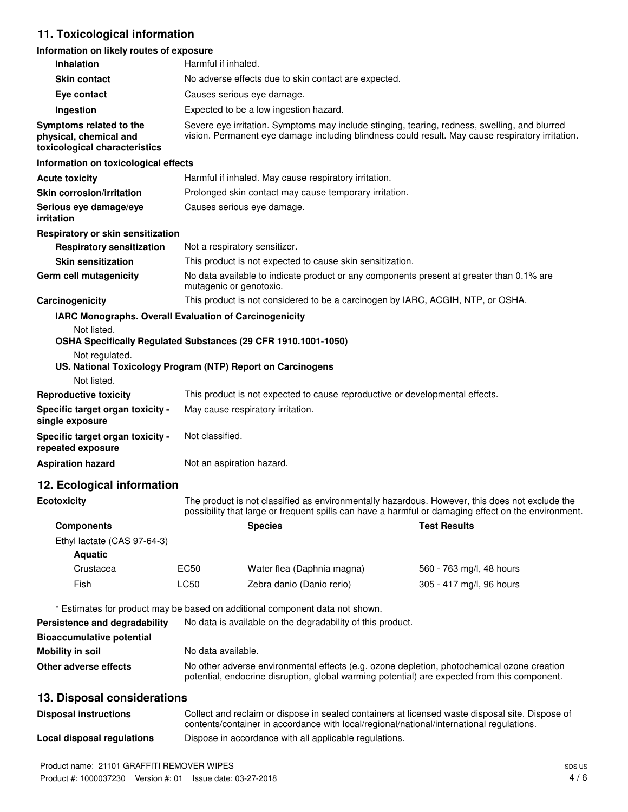### **11. Toxicological information**

#### **Information on likely routes of exposure**

| <b>Inhalation</b>                                                                  | Harmful if inhaled.                                                                                                                                                                               |
|------------------------------------------------------------------------------------|---------------------------------------------------------------------------------------------------------------------------------------------------------------------------------------------------|
| <b>Skin contact</b>                                                                | No adverse effects due to skin contact are expected.                                                                                                                                              |
| Eye contact                                                                        | Causes serious eye damage.                                                                                                                                                                        |
| Ingestion                                                                          | Expected to be a low ingestion hazard.                                                                                                                                                            |
| Symptoms related to the<br>physical, chemical and<br>toxicological characteristics | Severe eye irritation. Symptoms may include stinging, tearing, redness, swelling, and blurred<br>vision. Permanent eye damage including blindness could result. May cause respiratory irritation. |
| Information on toxicological effects                                               |                                                                                                                                                                                                   |
| <b>Acute toxicity</b>                                                              | Harmful if inhaled. May cause respiratory irritation.                                                                                                                                             |
| <b>Skin corrosion/irritation</b>                                                   | Prolonged skin contact may cause temporary irritation.                                                                                                                                            |
| Serious eye damage/eye<br>irritation                                               | Causes serious eye damage.                                                                                                                                                                        |
| Respiratory or skin sensitization                                                  |                                                                                                                                                                                                   |
| <b>Respiratory sensitization</b>                                                   | Not a respiratory sensitizer.                                                                                                                                                                     |
| <b>Skin sensitization</b>                                                          | This product is not expected to cause skin sensitization.                                                                                                                                         |
| <b>Germ cell mutagenicity</b>                                                      | No data available to indicate product or any components present at greater than 0.1% are<br>mutagenic or genotoxic.                                                                               |
| Carcinogenicity                                                                    | This product is not considered to be a carcinogen by IARC, ACGIH, NTP, or OSHA.                                                                                                                   |
| <b>IARC Monographs. Overall Evaluation of Carcinogenicity</b>                      |                                                                                                                                                                                                   |
| Not listed.                                                                        | OSHA Specifically Regulated Substances (29 CFR 1910.1001-1050)                                                                                                                                    |
| Not regulated.<br>Not listed.                                                      | US. National Toxicology Program (NTP) Report on Carcinogens                                                                                                                                       |
| <b>Reproductive toxicity</b>                                                       | This product is not expected to cause reproductive or developmental effects.                                                                                                                      |
| Specific target organ toxicity -<br>single exposure                                | May cause respiratory irritation.                                                                                                                                                                 |
| Specific target organ toxicity -<br>repeated exposure                              | Not classified.                                                                                                                                                                                   |
| <b>Aspiration hazard</b>                                                           | Not an aspiration hazard.                                                                                                                                                                         |

### **12. Ecological information**

**Ecotoxicity**

The product is not classified as environmentally hazardous. However, this does not exclude the possibility that large or frequent spills can have a harmful or damaging effect on the environment.

| <b>Components</b>           |      | <b>Species</b>             | <b>Test Results</b>      |  |
|-----------------------------|------|----------------------------|--------------------------|--|
| Ethyl lactate (CAS 97-64-3) |      |                            |                          |  |
| <b>Aquatic</b>              |      |                            |                          |  |
| Crustacea                   | EC50 | Water flea (Daphnia magna) | 560 - 763 mg/l, 48 hours |  |
| Fish                        | LC50 | Zebra danio (Danio rerio)  | 305 - 417 mg/l, 96 hours |  |

\* Estimates for product may be based on additional component data not shown.

| Persistence and degradability    | No data is available on the degradability of this product.                                                                                                                                 |  |
|----------------------------------|--------------------------------------------------------------------------------------------------------------------------------------------------------------------------------------------|--|
| <b>Bioaccumulative potential</b> |                                                                                                                                                                                            |  |
| Mobility in soil                 | No data available.                                                                                                                                                                         |  |
| Other adverse effects            | No other adverse environmental effects (e.g. ozone depletion, photochemical ozone creation<br>potential, endocrine disruption, global warming potential) are expected from this component. |  |

### **13. Disposal considerations**

| <b>Disposal instructions</b> | Collect and reclaim or dispose in sealed containers at licensed waste disposal site. Dispose of<br>contents/container in accordance with local/regional/national/international regulations. |
|------------------------------|---------------------------------------------------------------------------------------------------------------------------------------------------------------------------------------------|
| Local disposal regulations   | Dispose in accordance with all applicable regulations.                                                                                                                                      |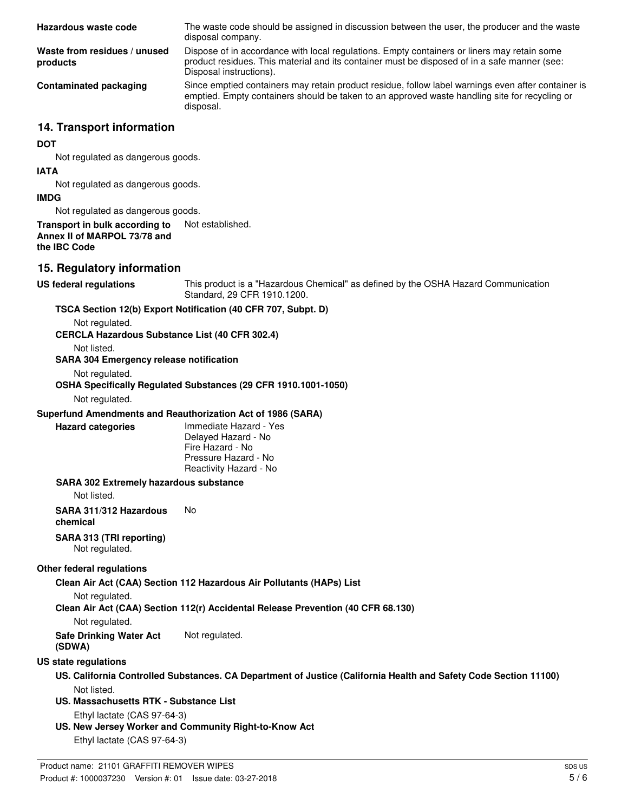| Hazardous waste code                                                            | The waste code should be assigned in discussion between the user, the producer and the waste<br>disposal company.                                                                                                      |
|---------------------------------------------------------------------------------|------------------------------------------------------------------------------------------------------------------------------------------------------------------------------------------------------------------------|
| Waste from residues / unused<br>products                                        | Dispose of in accordance with local regulations. Empty containers or liners may retain some<br>product residues. This material and its container must be disposed of in a safe manner (see:<br>Disposal instructions). |
| <b>Contaminated packaging</b>                                                   | Since emptied containers may retain product residue, follow label warnings even after container is<br>emptied. Empty containers should be taken to an approved waste handling site for recycling or<br>disposal.       |
| 14. Transport information                                                       |                                                                                                                                                                                                                        |
| <b>DOT</b><br>Not regulated as dangerous goods.                                 |                                                                                                                                                                                                                        |
| <b>IATA</b><br>Not regulated as dangerous goods.                                |                                                                                                                                                                                                                        |
| <b>IMDG</b>                                                                     |                                                                                                                                                                                                                        |
| Not regulated as dangerous goods.                                               |                                                                                                                                                                                                                        |
| Transport in bulk according to<br>Annex II of MARPOL 73/78 and<br>the IBC Code  | Not established.                                                                                                                                                                                                       |
| 15. Regulatory information                                                      |                                                                                                                                                                                                                        |
| <b>US federal regulations</b>                                                   | This product is a "Hazardous Chemical" as defined by the OSHA Hazard Communication<br>Standard, 29 CFR 1910.1200.                                                                                                      |
|                                                                                 | TSCA Section 12(b) Export Notification (40 CFR 707, Subpt. D)                                                                                                                                                          |
| Not regulated.<br><b>CERCLA Hazardous Substance List (40 CFR 302.4)</b>         |                                                                                                                                                                                                                        |
| Not listed.<br><b>SARA 304 Emergency release notification</b><br>Not regulated. |                                                                                                                                                                                                                        |
| Not regulated.                                                                  | OSHA Specifically Regulated Substances (29 CFR 1910.1001-1050)                                                                                                                                                         |
|                                                                                 | Superfund Amendments and Reauthorization Act of 1986 (SARA)                                                                                                                                                            |
| <b>Hazard categories</b>                                                        | Immediate Hazard - Yes<br>Delayed Hazard - No<br>Fire Hazard - No<br>Pressure Hazard - No<br>Reactivity Hazard - No                                                                                                    |
| <b>SARA 302 Extremely hazardous substance</b>                                   |                                                                                                                                                                                                                        |
| Not listed.                                                                     |                                                                                                                                                                                                                        |
| SARA 311/312 Hazardous<br>chemical                                              | No                                                                                                                                                                                                                     |
| SARA 313 (TRI reporting)<br>Not regulated.                                      |                                                                                                                                                                                                                        |
| Other federal regulations                                                       |                                                                                                                                                                                                                        |
|                                                                                 | Clean Air Act (CAA) Section 112 Hazardous Air Pollutants (HAPs) List                                                                                                                                                   |
| Not regulated.                                                                  | Clean Air Act (CAA) Section 112(r) Accidental Release Prevention (40 CFR 68.130)                                                                                                                                       |
| Not regulated.<br><b>Safe Drinking Water Act</b><br>(SDWA)                      | Not regulated.                                                                                                                                                                                                         |
| US state regulations                                                            |                                                                                                                                                                                                                        |
| Not listed.                                                                     | US. California Controlled Substances. CA Department of Justice (California Health and Safety Code Section 11100)                                                                                                       |
| US. Massachusetts RTK - Substance List<br>Ethyl lactate (CAS 97-64-3)           |                                                                                                                                                                                                                        |
| Ethyl lactate (CAS 97-64-3)                                                     | US. New Jersey Worker and Community Right-to-Know Act                                                                                                                                                                  |
|                                                                                 |                                                                                                                                                                                                                        |